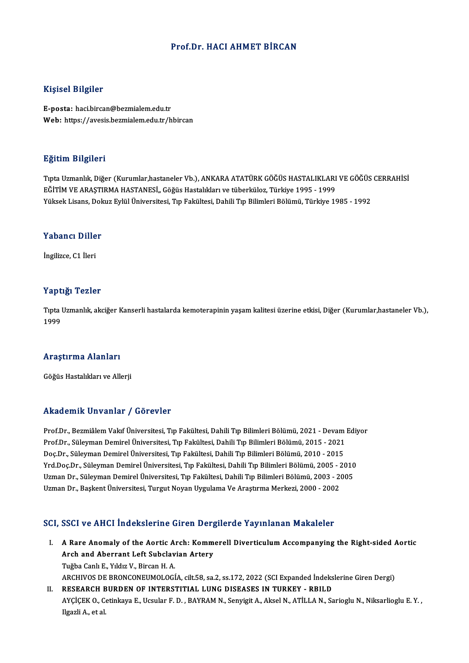### Prof.Dr.HACI AHMET BİRCAN

### Kişisel Bilgiler

E-posta: haci.bircan@bezmialem.edu.tr Web: https://avesis.bezmialem.edu.tr/hbircan

### Eğitim Bilgileri

Eğitim Bilgileri<br>Tıpta Uzmanlık, Diğer (Kurumlar,hastaneler Vb.), ANKARA ATATÜRK GÖĞÜS HASTALIKLARI VE GÖĞÜS CERRAHİSİ<br>FÖİTİM VE ARASTIRMA HASTANESİ, Göğüs Hastalıkları ve tüberküler. Türkiye 1995, 1999 Eğitim Engiren<br>Tıpta Uzmanlık, Diğer (Kurumlar,hastaneler Vb.), ANKARA ATATÜRK GÖĞÜS HASTALIKLARI<br>EĞİTİM VE ARAŞTIRMA HASTANESİ,, Göğüs Hastalıkları ve tüberküloz, Türkiye 1995 - 1999<br>Yüksek Lisans, Dolayz Evlül Üniversite Tıpta Uzmanlık, Diğer (Kurumlar,hastaneler Vb.), ANKARA ATATÜRK GÖĞÜS HASTALIKLARI VE GÖĞÜS<br>EĞİTİM VE ARAŞTIRMA HASTANESİ,, Göğüs Hastalıkları ve tüberküloz, Türkiye 1995 - 1999<br>Yüksek Lisans, Dokuz Eylül Üniversitesi, Tıp

### ruksek Lisans, Dok<br>Yabancı Diller Y<mark>abancı Dille</mark><br>İngilizce, C1 İleri

# İngilizce, C1 İleri<br>Yaptığı Tezler

Yaptığı Tezler<br>Tıpta Uzmanlık, akciğer Kanserli hastalarda kemoterapinin yaşam kalitesi üzerine etkisi, Diğer (Kurumlar,hastaneler Vb.),<br>1999 1<br>Tipta<br>1999

### 1<sup>999</sup><br>Araştırma Alanları <mark>Araştırma Alanları</mark><br>Göğüs Hastalıkları ve Allerji

# Göğüs Hastalıkları ve Allerji<br>Akademik Unvanlar / Görevler

Prof.Dr., Bezmiâlem Vakıf Üniversitesi, Tıp Fakültesi, Dahili Tıp Bilimleri Bölümü, 2021 - Devam Ediyor rındu enime Sirvaniar 7 "dörevici"<br>Prof.Dr., Bezmiâlem Vakıf Üniversitesi, Tıp Fakültesi, Dahili Tıp Bilimleri Bölümü, 2021 - Devam .<br>Prof.Dr., Süleyman Demirel Üniversitesi, Tıp Fakültesi, Dahili Tıp Bilimleri Bölümü, 201 Prof.Dr., Bezmiâlem Vakıf Üniversitesi, Tıp Fakültesi, Dahili Tıp Bilimleri Bölümü, 2021 - Devam<br>Prof.Dr., Süleyman Demirel Üniversitesi, Tıp Fakültesi, Dahili Tıp Bilimleri Bölümü, 2015 - 2021<br>Doç.Dr., Süleyman Demirel Ün Prof.Dr., Süleyman Demirel Üniversitesi, Tıp Fakültesi, Dahili Tıp Bilimleri Bölümü, 2015 - 2021<br>Doç.Dr., Süleyman Demirel Üniversitesi, Tıp Fakültesi, Dahili Tıp Bilimleri Bölümü, 2010 - 2015<br>Yrd.Doç.Dr., Süleyman Demirel Doç.Dr., Süleyman Demirel Üniversitesi, Tıp Fakültesi, Dahili Tıp Bilimleri Bölümü, 2010 - 2015<br>Yrd.Doç.Dr., Süleyman Demirel Üniversitesi, Tıp Fakültesi, Dahili Tıp Bilimleri Bölümü, 2005 - 2010<br>Uzman Dr., Süleyman Demire Yrd.Doç.Dr., Süleyman Demirel Üniversitesi, Tıp Fakültesi, Dahili Tıp Bilimleri Bölümü, 2005 - 2<br>Uzman Dr., Süleyman Demirel Üniversitesi, Tıp Fakültesi, Dahili Tıp Bilimleri Bölümü, 2003 - 2<br>Uzman Dr., Başkent Üniversites

# Uzman Dr., Başkent Üniversitesi, Turgut Noyan Uygulama Ve Araştırma Merkezi, 2000 - 2002<br>SCI, SSCI ve AHCI İndekslerine Giren Dergilerde Yayınlanan Makaleler

- CI, SSCI ve AHCI İndekslerine Giren Dergilerde Yayınlanan Makaleler<br>I. A Rare Anomaly of the Aortic Arch: Kommerell Diverticulum Accompanying the Right-sided Aortic<br>Arch and Aberrant Left Subelevian Artery Boot volting indonesting and Borg<br>A Rare Anomaly of the Aortic Arch: Komm<br>Arch and Aberrant Left Subclavian Artery A Rare Anomaly of the Aortic A.<br>Arch and Aberrant Left Subclav<br>Tuğba Canlı E., Yıldız V., Bircan H. A.<br>ARCHIVOS DE PRONCONEUMOLOCÍ Arch and Aberrant Left Subclavian Artery<br>Tuğba Canlı E., Yıldız V., Bircan H. A.<br>ARCHIVOS DE BRONCONEUMOLOGÍA, cilt.58, sa.2, ss.172, 2022 (SCI Expanded İndekslerine Giren Dergi) Tuğba Canlı E., Yıldız V., Bircan H. A.<br>ARCHIVOS DE BRONCONEUMOLOGÍA, cilt.58, sa.2, ss.172, 2022 (SCI Expanded İndeks<br>II. RESEARCH BURDEN OF INTERSTITIAL LUNG DISEASES IN TURKEY - RBILD<br>AVCİCEK O. Cetinkaya E. Hesular E.
- AYÇİÇEK O., Cetinkaya E., Ucsular F. D. , BAYRAM N., Senyigit A., Aksel N., ATİLLA N., Sarioglu N., Niksarlioglu E. Y. ,<br>Ilgazli A., et al. RESEARCH E<br>AYÇİÇEK O., C<br>Ilgazli A., et al.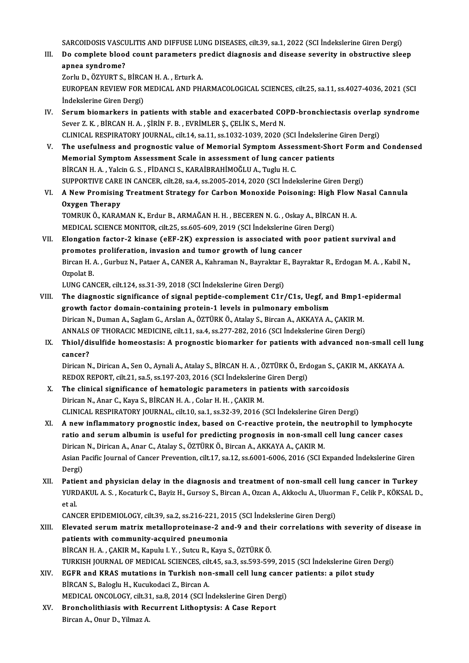SARCOIDOSIS VASCULITIS AND DIFFUSE LUNG DISEASES, cilt.39, sa.1, 2022 (SCI İndekslerine Giren Dergi)<br>De semplete bland seurt parameters predict disenseis and disease severity in ebetructive sle

SARCOIDOSIS VASCULITIS AND DIFFUSE LUNG DISEASES, cilt.39, sa.1, 2022 (SCI İndekslerine Giren Dergi)<br>III. Do complete blood count parameters predict diagnosis and disease severity in obstructive sleep<br>annes syndname? SARCOIDOSIS VASCU<br>Do complete blood<br>apnea syndrome?<br>Zarlu D. ÖZVUPT S Do complete blood count parameters p<br>apnea syndrome?<br>Zorlu D., ÖZYURT S., BİRCAN H. A. , Erturk A.<br>EUROPEAN REVIEW EOR MEDICAL AND PH.

apnea syndrome?<br>Zorlu D., ÖZYURT S., BİRCAN H. A. , Erturk A.<br>EUROPEAN REVIEW FOR MEDICAL AND PHARMACOLOGICAL SCIENCES, cilt.25, sa.11, ss.4027-4036, 2021 (SCI<br>İndekslerine Giren Dergi) Zorlu D., ÖZYURT S., BİRCA<br>EUROPEAN REVIEW FOR I<br>İndekslerine Giren Dergi)<br>Sarum biomarkars in n EUROPEAN REVIEW FOR MEDICAL AND PHARMACOLOGICAL SCIENCES, cilt.25, sa.11, ss.4027-4036, 2021 (SCI<br>Indekslerine Giren Dergi)<br>IV. Serum biomarkers in patients with stable and exacerbated COPD-bronchiectasis overlap syndrome<br>

- İndekslerine Giren Dergi)<br>Serum biomarkers in patients with stable and exacerbated CO<br>Sever Z. K. , BİRCAN H. A. , ŞİRİN F. B. , EVRİMLER Ş., ÇELİK S., Merd N.<br>CLINICAL PESPIRATORY JOURNAL sik 14. sa 11. ss 1922-1929-2920 Serum biomarkers in patients with stable and exacerbated COPD-bronchiectasis overlap<br>Sever Z. K., BİRCAN H. A., ŞİRİN F. B., EVRİMLER Ş., ÇELİK S., Merd N.<br>CLINICAL RESPIRATORY JOURNAL, cilt.14, sa.11, ss.1032-1039, 2020 ( Sever Z. K., BİRCAN H. A., ŞİRİN F. B., EVRİMLER Ş., ÇELİK S., Merd N.<br>CLINICAL RESPIRATORY JOURNAL, cilt.14, sa.11, ss.1032-1039, 2020 (SCI İndekslerine Giren Dergi)<br>V. The usefulness and prognostic value of Memorial Symp
- CLINICAL RESPIRATORY JOURNAL, cilt.14, sa.11, ss.1032-1039, 2020 (SCI İndekslerine<br>The usefulness and prognostic value of Memorial Symptom Assessment-Sho<br>Memorial Symptom Assessment Scale in assessment of lung cancer patie The usefulness and prognostic value of Memorial Symptom Asses<br>Memorial Symptom Assessment Scale in assessment of lung cance<br>BİRCAN H.A., Yalcin G.S., FİDANCI S., KARAİBRAHİMOĞLU A., Tuglu H.C.<br>SUPPOPTIVE CARE IN CANCER sil Memorial Symptom Assessment Scale in assessment of lung cancer patients<br>BİRCAN H. A. , Yalcin G. S. , FİDANCI S., KARAİBRAHİMOĞLU A., Tuglu H. C.<br>SUPPORTIVE CARE IN CANCER, cilt.28, sa.4, ss.2005-2014, 2020 (SCI İndeksleri BİRCAN H. A. , Yalcin G. S. , FİDANCI S., KARAİBRAHİMOĞLU A., Tuglu H. C.<br>SUPPORTIVE CARE IN CANCER, cilt.28, sa.4, ss.2005-2014, 2020 (SCI İndekslerine Giren Dergi)<br>VI. A New Promising Treatment Strategy for Carbon Mo
- SUPPORTIVE CARE<br>A New Promising<br>Oxygen Therapy<br>TOMBUK Ö, KARAN A New Promising Treatment Strategy for Carbon Monoxide Poisoning: High Flow<br>Oxygen Therapy<br>TOMRUK Ö., KARAMAN K., Erdur B., ARMAĞAN H. H. , BECEREN N. G. , Oskay A., BİRCAN H. A.<br>MEDICAL SCIENCE MONITOR ailt 25, 88,605,600 Oxygen Therapy<br>TOMRUK Ö., KARAMAN K., Erdur B., ARMAĞAN H. H. , BECEREN N. G. , Oskay A., BİRCAN H. A.<br>MEDICAL SCIENCE MONITOR, cilt.25, ss.605-609, 2019 (SCI İndekslerine Giren Dergi)

TOMRUK Ö., KARAMAN K., Erdur B., ARMAĞAN H. H. , BECEREN N. G. , Oskay A., BİRCAN H. A.<br>MEDICAL SCIENCE MONITOR, cilt.25, ss.605-609, 2019 (SCI İndekslerine Giren Dergi)<br>VII. Elongation factor-2 kinase (eEF-2K) expression MEDICAL SCIENCE MONITOR, cilt.25, ss.605-609, 2019 (SCI indekslerine Gir<br>Elongation factor-2 kinase (eEF-2K) expression is associated with<br>promotes proliferation, invasion and tumor growth of lung cancer<br>Pircon H.A., Curbu Elongation factor-2 kinase (eEF-2K) expression is associated with poor patient survival and<br>promotes proliferation, invasion and tumor growth of lung cancer<br>Bircan H. A. , Gurbuz N., Pataer A., CANER A., Kahraman N., Bayra **promotes<br>Bircan H. /<br>Ozpolat B.<br>LUNC CAN** Bircan H. A. , Gurbuz N., Pataer A., CANER A., Kahraman N., Bayraktar I<br>Ozpolat B.<br>LUNG CANCER, cilt.124, ss.31-39, 2018 (SCI İndekslerine Giren Dergi)<br>The diagnestis significance of signal pentide semplement C1r.

- Ozpolat B.<br>LUNG CANCER, cilt.124, ss.31-39, 2018 (SCI indekslerine Giren Dergi)<br>VIII. The diagnostic significance of signal peptide-complement C1r/C1s, Uegf, and Bmp1-epidermal<br>growth factor domain containing protein 1 loy LUNG CANCER, cilt.124, ss.31-39, 2018 (SCI İndekslerine Giren Dergi)<br>The diagnostic significance of signal peptide-complement C1r/C1s, Uegf, ar<br>growth factor domain-containing protein-1 levels in pulmonary embolism<br>Dirigan The diagnostic significance of signal peptide-complement C1r/C1s, Uegf, and Bmp1-<br>growth factor domain-containing protein-1 levels in pulmonary embolism<br>Dirican N., Duman A., Saglam G., Arslan A., ÖZTÜRK Ö., Atalay S., Bir growth factor domain-containing protein-1 levels in pulmonary embolism<br>Dirican N., Duman A., Saglam G., Arslan A., ÖZTÜRK Ö., Atalay S., Bircan A., AKKAYA A., ÇAKIR M.<br>ANNALS OF THORACIC MEDICINE, cilt.11, sa.4, ss.277-282 Dirican N., Duman A., Saglam G., Arslan A., ÖZTÜRK Ö., Atalay S., Bircan A., AKKAYA A., ÇAKIR M.<br>ANNALS OF THORACIC MEDICINE, cilt.11, sa.4, ss.277-282, 2016 (SCI İndekslerine Giren Dergi)<br>IX. Thiol/disulfide homeostas
- ANNALS<br>Thiol/di<br>cancer?<br><sup>Dirican N</sup> Thiol/disulfide homeostasis: A prognostic biomarker for patients with advanced non-small cell<br>cancer?<br>Dirican N., Dirican A., Sen O., Aynali A., Atalay S., BİRCAN H. A. , ÖZTÜRK Ö., Erdogan S., ÇAKIR M., AKKAYA A<br>REDOV REP

cancer?<br>Dirican N., Dirican A., Sen O., Aynali A., Atalay S., BİRCAN H. A. , ÖZTÜRK Ö., Erd<br>REDOX REPORT, cilt.21, sa.5, ss.197-203, 2016 (SCI İndekslerine Giren Dergi)<br>The elinisel significanea of hamatalagis naramatara i Dirican N., Dirican A., Sen O., Aynali A., Atalay S., BİRCAN H. A., ÖZTÜRK Ö., Erdogan S., ÇAKI<br>REDOX REPORT, cilt.21, sa.5, ss.197-203, 2016 (SCI İndekslerine Giren Dergi)<br>X. The clinical significance of hematologic param

- REDOX REPORT, cilt.21, sa.5, ss.197-203, 2016 (SCI İndekslerine Giren Dergi)<br>The clinical significance of hematologic parameters in patients with sarcoidosis<br>Dirican N., Anar C., Kaya S., BİRCAN H. A. , Colar H. H. , ÇAKIR The clinical significance of hematologic parameters in patients with sarcoidosis<br>Dirican N., Anar C., Kaya S., BİRCAN H. A. , Colar H. H. , ÇAKIR M.<br>CLINICAL RESPIRATORY JOURNAL, cilt.10, sa.1, ss.32-39, 2016 (SCI İndeksle
- Dirican N., Anar C., Kaya S., BİRCAN H. A. , Colar H. H. , ÇAKIR M.<br>CLINICAL RESPIRATORY JOURNAL, cilt.10, sa.1, ss.32-39, 2016 (SCI İndekslerine Giren Dergi)<br>XI. A new inflammatory prognostic index, based on C-reactive pr CLINICAL RESPIRATORY JOURNAL, cilt.10, sa.1, ss.32-39, 2016 (SCI İndekslerine Giren Dergi)<br>A new inflammatory prognostic index, based on C-reactive protein, the neutrophil to lymphocy<br>ratio and serum albumin is useful for XI. A new inflammatory prognostic index, based on C-reactive protein, the neutrophil to lymphocyte ratio and serum albumin is useful for predicting prognosis in non-small cell lung cancer cases Asian Pacific Journal of Cancer Prevention, cilt.17, sa.12, ss.6001-6006, 2016 (SCI Expanded İndekslerine Giren<br>Dergi) Dirican N., Dirican A., Anar C., Atalay S., ÖZTÜRK Ö., Bircan A., AKKAYA A., CAKIR M. Asian Pacific Journal of Cancer Prevention, cilt.17, sa.12, ss.6001-6006, 2016 (SCI Expanded Indekslerine Giren<br>Dergi)<br>XII. Patient and physician delay in the diagnosis and treatment of non-small cell lung cancer in Turkey
- YURDAKUL A. S. , Kocaturk C., Bayiz H., Gursoy S., Bircan A., Ozcan A., Akkoclu A., Uluorman F., Celik P., KÖKSAL D.,<br>et al. Patie<br>YURI<br>et al.<br>CANC YURDAKUL A. S. , Kocaturk C., Bayiz H., Gursoy S., Bircan A., Ozcan A., Akkoclu A., Uluori<br>et al.<br>CANCER EPIDEMIOLOGY, cilt.39, sa.2, ss.216-221, 2015 (SCI İndekslerine Giren Dergi)<br>Elevated serum matrix metallenreteinase

- et al.<br>CANCER EPIDEMIOLOGY, cilt.39, sa.2, ss.216-221, 2015 (SCI İndekslerine Giren Dergi)<br>XIII. Elevated serum matrix metalloproteinase-2 and-9 and their correlations with severity of disease in<br> CANCER EPIDEMIOLOGY, cilt.39, sa.2, ss.216-221, 20<br>Elevated serum matrix metalloproteinase-2 an<br>patients with community-acquired pneumonia<br>PIPCAN H A CAKIP M Kapulu L V Sutau P Kaya i Elevated serum matrix metalloproteinase-2 and-9 and the:<br>patients with community-acquired pneumonia<br>BİRCAN H.A.,ÇAKIR M., Kapulu I.Y., Sutcu R., Kaya S., ÖZTÜRKÖ.<br>TURKISH JOURNAL OF MEDICAL SCIENCES silt 45, 82,2,8502,500 patients with community-acquired pneumonia<br>BİRCAN H. A. , ÇAKIR M., Kapulu I. Y. , Sutcu R., Kaya S., ÖZTÜRK Ö.<br>TURKISH JOURNAL OF MEDICAL SCIENCES, cilt.45, sa.3, ss.593-599, 2015 (SCI İndekslerine Giren Dergi)<br>ECEP and K BİRCAN H. A. , ÇAKIR M., Kapulu I. Y. , Sutcu R., Kaya S., ÖZTÜRK Ö.<br>TURKISH JOURNAL OF MEDICAL SCIENCES, cilt.45, sa.3, ss.593-599, 2015 (SCI İndekslerine Giren I<br>XIV. EGFR and KRAS mutations in Turkish non-small cell lun
- BİRCAN S., Baloglu H., Kucukodaci Z., Bircan A.<br>MEDICAL ONCOLOGY, cilt.31, sa.8, 2014 (SCI İndekslerine Giren Dergi) EGFR and KRAS mutations in Turkish non-small cell lung cancer patients: a pilot study BIRCAN S., Baloglu H., Kucukodaci Z., Bircan A.<br>MEDICAL ONCOLOGY, cilt.31, sa.8, 2014 (SCI Indekslerine Giren Der<br>XV. Broncholithiasis with Recurrent Lithoptysis: A Case Report<br>Pingan A. Opur D. Vilman A.
- MEDICAL ONCOLOGY, cilt.3<br>Broncholithiasis with Re<br>Bircan A., Onur D., Yilmaz A.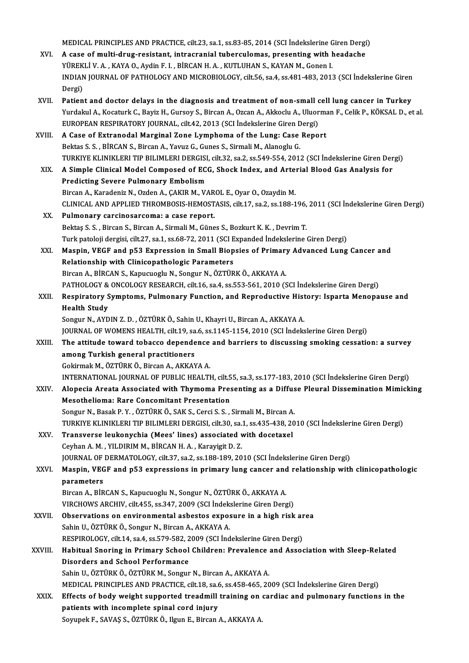MEDICAL PRINCIPLES AND PRACTICE, cilt.23, sa.1, ss.83-85, 2014 (SCI İndekslerine Giren Dergi)<br>A sasa of multi daug resistant, intrespenial tubergularnas, presenting with haqdashe

- MEDICAL PRINCIPLES AND PRACTICE, cilt.23, sa.1, ss.83-85, 2014 (SCI Indekslerine Giren Dergi<br>XVI. A case of multi-drug-resistant, intracranial tuberculomas, presenting with headache<br>XII. B PAVAN A WAYA O Ardin E L BIRCAN H MEDICAL PRINCIPLES AND PRACTICE, cilt.23, sa.1, ss.83-85, 2014 (SCI İndekslerine G<br>A case of multi-drug-resistant, intracranial tuberculomas, presenting with h<br>YÜREKLİ V. A. , KAYA O., Aydin F. I. , BİRCAN H. A. , KUTLUHAN A case of multi-drug-resistant, intracranial tuberculomas, presenting with headache<br>YÜREKLİ V. A. , KAYA O., Aydin F. I. , BİRCAN H. A. , KUTLUHAN S., KAYAN M., Gonen I.<br>INDIAN JOURNAL OF PATHOLOGY AND MICROBIOLOGY, cilt.5 YÜREKLİ V. A., KAYA O., Aydin F. I., BİRCAN H. A., KUTLUHAN S., KAYAN M., Gonen I.
- XVII. Patient and doctor delays in the diagnosis and treatment of non-small cell lung cancer in Turkey Dergi)<br>Patient and doctor delays in the diagnosis and treatment of non-small cell lung cancer in Turkey<br>Yurdakul A., Kocaturk C., Bayiz H., Gursoy S., Bircan A., Ozcan A., Akkoclu A., Uluorman F., Celik P., KÖKSAL D., et a Patient and doctor delays in the diagnosis and treatment of non-small c<br>Yurdakul A., Kocaturk C., Bayiz H., Gursoy S., Bircan A., Ozcan A., Akkoclu A., Uluor<br>EUROPEAN RESPIRATORY JOURNAL, cilt.42, 2013 (SCI İndekslerine Gi Yurdakul A., Kocaturk C., Bayiz H., Gursoy S., Bircan A., Ozcan A., Akkoclu A., Uluorma<br>EUROPEAN RESPIRATORY JOURNAL, cilt.42, 2013 (SCI Indekslerine Giren Dergi)<br>XVIII. A Case of Extranodal Marginal Zone Lymphoma of the L
- EUROPEAN RESPIRATORY JOURNAL, cilt.42, 2013 (SCI İndekslerine Giren D<br>A Case of Extranodal Marginal Zone Lymphoma of the Lung: Case<br>Bektas S. S., BİRCAN S., Bircan A., Yavuz G., Gunes S., Sirmali M., Alanoglu G.<br>TURKIYE KI A Case of Extranodal Marginal Zone Lymphoma of the Lung: Case Report<br>Bektas S. S. , BİRCAN S., Bircan A., Yavuz G., Gunes S., Sirmali M., Alanoglu G.<br>TURKIYE KLINIKLERI TIP BILIMLERI DERGISI, cilt.32, sa.2, ss.549-554, 201 Bektas S. S. , BİRCAN S., Bircan A., Yavuz G., Gunes S., Sirmali M., Alanoglu G.<br>TURKIYE KLINIKLERI TIP BILIMLERI DERGISI, cilt.32, sa.2, ss.549-554, 2012 (SCI İndekslerine Giren Der<br>XIX. A Simple Clinical Model Compos TURKIYE KLINIKLERI TIP BILIMLERI DERGISI<br>A Simple Clinical Model Composed of EC<br>Predicting Severe Pulmonary Embolism<br>Birgan A. Karadariz N. Ordan A. CAKIB M. V. A Simple Clinical Model Composed of ECG, Shock Index, and Arte:<br>Predicting Severe Pulmonary Embolism<br>Bircan A., Karadeniz N., Ozden A., ÇAKIR M., VAROL E., Oyar O., Ozaydin M.<br>CLINICAL AND APPLIED TUROMPOSIS UEMOSTASIS, si Predicting Severe Pulmonary Embolism<br>Bircan A., Karadeniz N., Ozden A., ÇAKIR M., VAROL E., Oyar O., Ozaydin M.<br>CLINICAL AND APPLIED THROMBOSIS-HEMOSTASIS, cilt.17, sa.2, ss.188-196, 2011 (SCI İndekslerine Giren Dergi)<br>Pul Bircan A., Karadeniz N., Ozden A., ÇAKIR M., VAR<br>CLINICAL AND APPLIED THROMBOSIS-HEMOST<br>XX. Pulmonary carcinosarcoma: a case report.
- CLINICAL AND APPLIED THROMBOSIS-HEMOSTASIS, cilt.17, sa.2, ss.188-196,<br>Pulmonary carcinosarcoma: a case report.<br>Bektaş S. S. , Bircan S., Bircan A., Sirmali M., Günes S., Bozkurt K. K. , Devrim T.<br>Turk pateleji devrisi, si Pulmonary carcinosarcoma: a case report.<br>Bektaş S. S. , Bircan S., Bircan A., Sirmali M., Günes S., Bozkurt K. K. , Devrim T.<br>Turk patoloji dergisi, cilt.27, sa.1, ss.68-72, 2011 (SCI Expanded İndekslerine Giren Dergi) Bektaş S. S. , Bircan S., Bircan A., Sirmali M., Günes S., Bozkurt K. K. , Devrim T.<br>Turk patoloji dergisi, cilt.27, sa.1, ss.68-72, 2011 (SCI Expanded Indekslerine Giren Dergi)<br>XXI. Maspin, VEGF and p53 Expression in Smal
- Turk patoloji dergisi, cilt.27, sa.1, ss.68-72, 2011 (SCI E<br>Maspin, VEGF and p53 Expression in Small Biop<br>Relationship with Clinicopathologic Parameters<br>Birgan A, BingAN S, Kanuguagh: N, Sangua N, ÖZTÜP Maspin, VEGF and p53 Expression in Small Biopsies of Primary<br>Relationship with Clinicopathologic Parameters<br>Bircan A., BİRCAN S., Kapucuoglu N., Songur N., ÖZTÜRK Ö., AKKAYA A.<br>PATHOLOGY & ONGOLOGY PESEARCH silt 16 sa 4 se Relationship with Clinicopathologic Parameters<br>Bircan A., BİRCAN S., Kapucuoglu N., Songur N., ÖZTÜRK Ö., AKKAYA A.<br>PATHOLOGY & ONCOLOGY RESEARCH, cilt.16, sa.4, ss.553-561, 2010 (SCI İndekslerine Giren Dergi) Bircan A., BİRCAN S., Kapucuoglu N., Songur N., ÖZTÜRK Ö., AKKAYA A.<br>PATHOLOGY & ONCOLOGY RESEARCH, cilt.16, sa.4, ss.553-561, 2010 (SCI İndekslerine Giren Dergi)<br>XXII. Respiratory Symptoms, Pulmonary Function, and Rep
- PATHOLOGY &<br>Respiratory S<br>Health Study<br>Songur N AVD Respiratory Symptoms, Pulmonary Function, and Reproductive Hist<br>Health Study<br>Songur N., AYDIN Z. D. , ÖZTÜRK Ö., Sahin U., Khayri U., Bircan A., AKKAYA A.<br>JOUPNAL OF WOMENS HEALTH, silt 19, sa 6, ss 1145, 1154, 2010 (SCL i Health Study<br>Songur N., AYDIN Z. D. , ÖZTÜRK Ö., Sahin U., Khayri U., Bircan A., AKKAYA A.<br>JOURNAL OF WOMENS HEALTH, cilt.19, sa.6, ss.1145-1154, 2010 (SCI İndekslerine Giren Dergi)<br>The ettitude teward tebesse dependense a
	-

Songur N., AYDIN Z. D. , ÖZTÜRK Ö., Sahin U., Khayri U., Bircan A., AKKAYA A.<br>JOURNAL OF WOMENS HEALTH, cilt.19, sa.6, ss.1145-1154, 2010 (SCI İndekslerine Giren Dergi)<br>XXIII. The attitude toward tobacco dependence and bar JOURNAL OF WOMENS HEALTH, cilt.19, sa<br>The attitude toward tobacco depende<br>among Turkish general practitioners<br>Coliumal: M. ÖZTÜPKÖ, Birgan A. AKKAN GokirmakM.,ÖZTÜRKÖ.,BircanA.,AKKAYAA.

INTERNATIONAL JOURNAL OF PUBLIC HEALTH, cilt.55, sa.3, ss.177-183, 2010 (SCI İndekslerine Giren Dergi)

- Gokirmak M., ÖZTÜRK Ö., Bircan A., AKKAYA A.<br>INTERNATIONAL JOURNAL OF PUBLIC HEALTH, cilt.55, sa.3, ss.177-183, 2010 (SCI İndekslerine Giren Dergi)<br>XXIV. Alopecia Areata Associated with Thymoma Presenting as a Diffuse Mesothelioma: Rare Concomitant Presentation<br>Songur N., Basak P. Y., ÖZTÜRK Ö., SAK S., Cerci S. S., Sirmali M., Bircan A. Alopecia Areata Associated with Thymoma Presenting as a Diffus<br>Mesothelioma: Rare Concomitant Presentation<br>Songur N., Basak P.Y., ÖZTÜRK Ö., SAK S., Cerci S. S., Sirmali M., Bircan A.<br>TURKIVE KLINIKLEDLTIR BILIMLERLDERCISL
- TURKIYE KLINIKLERI TIP BILIMLERI DERGISI, cilt.30, sa.1, ss.435-438, 2010 (SCI İndekslerine Giren Dergi) Songur N., Basak P. Y., ÖZTÜRK Ö., SAK S., Cerci S. S., Sirmali M., Bircan A.<br>TURKIYE KLINIKLERI TIP BILIMLERI DERGISI, cilt.30, sa.1, ss.435-438, 20<br>XXV. Transverse leukonychia (Mees' lines) associated with docetaxel<br>Coub
- TURKIYE KLINIKLERI TIP BILIMLERI DERGISI, cilt.30, sa.<br>Transverse leukonychia (Mees' lines) associated v<br>Ceyhan A. M. , YILDIRIM M., BİRCAN H. A. , Karayigit D. Z.<br>JOUPMAL OF DEPMATOLOCY silt 37, sa 2, sa 188, 189, 20 Ceyhan A. M. , YILDIRIM M., BİRCAN H. A. , Karayigit D. Z.<br>JOURNAL OF DERMATOLOGY, cilt.37, sa.2, ss.188-189, 2010 (SCI İndekslerine Giren Dergi) Ceyhan A. M. , YILDIRIM M., BİRCAN H. A. , Karayigit D. Z.<br>JOURNAL OF DERMATOLOGY, cilt.37, sa.2, ss.188-189, 2010 (SCI İndekslerine Giren Dergi)<br>XXVI. Maspin, VEGF and p53 expressions in primary lung cancer and relati
- **JOURNAL OF<br>Maspin, VEG<br>parameters<br><sup>Pircon A P</sub>ip**</sup> Maspin, VEGF and p53 expressions in primary lung cancer and<br>parameters<br>Bircan A., BİRCAN S., Kapucuoglu N., Songur N., ÖZTÜRK Ö., AKKAYA A.<br>VIRCHOWS ARCHIV silt 455 ss 347 3000 (SCL İndekslerine Giren Ders

parameters<br>Bircan A., BİRCAN S., Kapucuoglu N., Songur N., ÖZTÜRK Ö., AKKAYA A.<br>VIRCHOWS ARCHIV, cilt.455, ss.347, 2009 (SCI İndekslerine Giren Dergi)<br>Observations en anyiranmental asbestes expesure in a bish risk

- Bircan A., BİRCAN S., Kapucuoglu N., Songur N., ÖZTÜRK Ö., AKKAYA A.<br>VIRCHOWS ARCHIV, cilt.455, ss.347, 2009 (SCI İndekslerine Giren Dergi)<br>XXVII. Observations on environmental asbestos exposure in a high risk area<br>Sabin I VIRCHOWS ARCHIV, cilt.455, ss.347, 2009 (SCI İndek:<br>Observations on environmental asbestos expos<br>Sahin U., ÖZTÜRK Ö., Songur N., Bircan A., AKKAYA A.<br>RESPIROLOCY, silt 14, sa 4, ss 579, 582, 2009 (SCI İnd Observations on environmental asbestos exposure in a high risk ar<br>Sahin U., ÖZTÜRK Ö., Songur N., Bircan A., AKKAYA A.<br>RESPIROLOGY, cilt.14, sa.4, ss.579-582, 2009 (SCI İndekslerine Giren Dergi)<br>Habitual Sporing in Brimary RESPIROLOGY, cilt 14, sa 4, ss 579-582, 2009 (SCI Indekslerine Giren Dergi)
- Sahin U., ÖZTÜRK Ö., Songur N., Bircan A., AKKAYA A.<br>RESPIROLOGY, cilt.14, sa.4, ss.579-582, 2009 (SCI İndekslerine Giren Dergi)<br>XXVIII. Habitual Snoring in Primary School Children: Prevalence and Association with Slee Sahin U., ÖZTÜRKÖ., ÖZTÜRKM., Songur N., Bircan A., AKKAYA A. Disorders and School Performance<br>Sahin U., ÖZTÜRK Ö., ÖZTÜRK M., Songur N., Bircan A., AKKAYA A.<br>MEDICAL PRINCIPLES AND PRACTICE, cilt.18, sa.6, ss.458-465, 2009 (SCI İndekslerine Giren Dergi)<br>Effecte of body weight cunnes

Sahin U., ÖZTÜRK Ö., ÖZTÜRK M., Songur N., Bircan A., AKKAYA A.<br>MEDICAL PRINCIPLES AND PRACTICE, cilt.18, sa.6, ss.458-465, 2009 (SCI İndekslerine Giren Dergi)<br>XXIX. Effects of body weight supported treadmill training on c MEDICAL PRINCIPLES AND PRACTICE, cilt.18, sa.*t*<br>Effects of body weight supported treadmill<br>patients with incomplete spinal cord injury<br>Sauunak E. SAVAS S. ÖZTÜRKÖ, Haun E. Birgan Effects of body weight supported treadmill training on cardiac and pulmonary functions in the patients with incomplete spinal cord injury<br>Soyupek F., SAVAŞ S., ÖZTÜRK Ö., Ilgun E., Bircan A., AKKAYA A.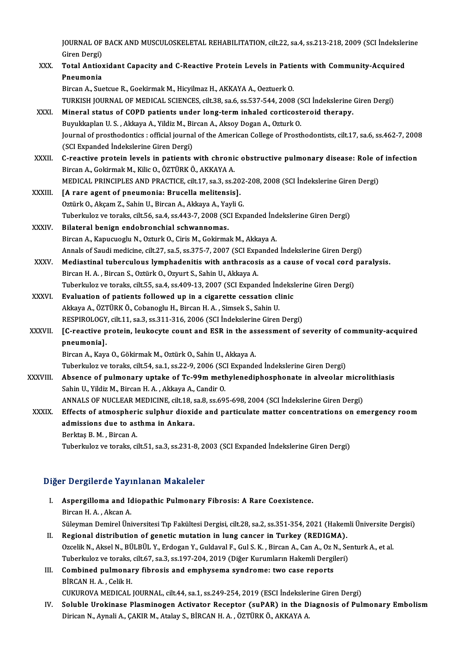JOURNAL OF BACK AND MUSCULOSKELETAL REHABILITATION, cilt.22, sa.4, ss.213-218, 2009 (SCI İndekslerine<br>Ciron Dargi) JOURNAL OF<br>Giren Dergi)<br>Total Antion JOURNAL OF BACK AND MUSCULOSKELETAL REHABILITATION, cilt.22, sa.4, ss.213-218, 2009 (SCI İndeksler<br>Giren Dergi)<br>XXX. Total Antioxidant Capacity and C-Reactive Protein Levels in Patients with Community-Acquired<br>Proumania Giren Dergi)

| XXX.          | Total Antioxidant Capacity and C-Reactive Protein Levels in Patients with Community-Acquired                           |
|---------------|------------------------------------------------------------------------------------------------------------------------|
|               | Pneumonia                                                                                                              |
|               | Bircan A., Suetcue R., Goekirmak M., Hicyilmaz H., AKKAYA A., Oeztuerk O.                                              |
|               | TURKISH JOURNAL OF MEDICAL SCIENCES, cilt.38, sa.6, ss.537-544, 2008 (SCI İndekslerine Giren Dergi)                    |
| XXXI.         | Mineral status of COPD patients under long-term inhaled corticosteroid therapy.                                        |
|               | Buyukkaplan U.S., Akkaya A., Yildiz M., Bircan A., Aksoy Dogan A., Ozturk O.                                           |
|               | Journal of prosthodontics : official journal of the American College of Prosthodontists, cilt.17, sa.6, ss.462-7, 2008 |
|               | (SCI Expanded İndekslerine Giren Dergi)                                                                                |
| XXXII.        | C-reactive protein levels in patients with chronic obstructive pulmonary disease: Role of infection                    |
|               | Bircan A., Gokirmak M., Kilic O., ÖZTÜRK Ö., AKKAYA A.                                                                 |
|               | MEDICAL PRINCIPLES AND PRACTICE, cilt.17, sa.3, ss.202-208, 2008 (SCI İndekslerine Giren Dergi)                        |
| <b>XXXIII</b> | [A rare agent of pneumonia: Brucella melitensis].                                                                      |
|               | Oztürk O., Akçam Z., Sahin U., Bircan A., Akkaya A., Yayli G.                                                          |
|               | Tuberkuloz ve toraks, cilt.56, sa.4, ss.443-7, 2008 (SCI Expanded Indekslerine Giren Dergi)                            |
| XXXIV.        | Bilateral benign endobronchial schwannomas.                                                                            |
|               | Bircan A., Kapucuoglu N., Ozturk O., Ciris M., Gokirmak M., Akkaya A.                                                  |
|               | Annals of Saudi medicine, cilt.27, sa.5, ss.375-7, 2007 (SCI Expanded İndekslerine Giren Dergi)                        |
| XXXV.         | Mediastinal tuberculous lymphadenitis with anthracosis as a cause of vocal cord paralysis.                             |
|               | Bircan H. A., Bircan S., Oztürk O., Ozyurt S., Sahin U., Akkaya A.                                                     |
|               | Tuberkuloz ve toraks, cilt.55, sa.4, ss.409-13, 2007 (SCI Expanded Indekslerine Giren Dergi)                           |
| XXXVI.        | Evaluation of patients followed up in a cigarette cessation clinic                                                     |
|               | Akkaya A., ÖZTÜRK Ö., Cobanoglu H., Bircan H. A., Simsek S., Sahin U.                                                  |
|               | RESPIROLOGY, cilt.11, sa.3, ss.311-316, 2006 (SCI Indekslerine Giren Dergi)                                            |
| XXXVII.       | [C-reactive protein, leukocyte count and ESR in the assessment of severity of community-acquired                       |
|               | pneumonia].                                                                                                            |
|               | Bircan A., Kaya O., Gökirmak M., Oztürk O., Sahin U., Akkaya A.                                                        |
|               | Tuberkuloz ve toraks, cilt.54, sa.1, ss.22-9, 2006 (SCI Expanded İndekslerine Giren Dergi)                             |
| XXXVIII.      | Absence of pulmonary uptake of Tc-99m methylenediphosphonate in alveolar microlithiasis                                |
|               | Sahin U., Yildiz M., Bircan H. A., Akkaya A., Candir O.                                                                |
|               | ANNALS OF NUCLEAR MEDICINE, cilt.18, sa.8, ss.695-698, 2004 (SCI İndekslerine Giren Dergi)                             |
| XXXIX.        | Effects of atmospheric sulphur dioxide and particulate matter concentrations on emergency room                         |
|               | admissions due to asthma in Ankara.                                                                                    |
|               | Berktas B. M., Bircan A.                                                                                               |
|               | Tuberkuloz ve toraks, cilt.51, sa.3, ss.231-8, 2003 (SCI Expanded Indekslerine Giren Dergi)                            |

# 1 uberkuloz ve toraks, citt.51, sa.5, ss.251-8, 20<br>Diğer Dergilerde Yayınlanan Makaleler

|    | Diğer Dergilerde Yayınlanan Makaleler                                                                             |
|----|-------------------------------------------------------------------------------------------------------------------|
| П. | Aspergilloma and Idiopathic Pulmonary Fibrosis: A Rare Coexistence.                                               |
|    | Bircan H.A., Akcan A.                                                                                             |
|    | Süleyman Demirel Üniversitesi Tıp Fakültesi Dergisi, cilt.28, sa.2, ss.351-354, 2021 (Hakemli Üniversite Dergisi) |
| Н. | Regional distribution of genetic mutation in lung cancer in Turkey (REDIGMA).                                     |
|    | Ozcelik N., Aksel N., BÜLBÜL Y., Erdogan Y., Guldaval F., Gul S. K., Bircan A., Can A., Oz N., Senturk A., et al. |
|    | Tuberlarleg us topolse sit 67 so 2 so 107 204 2010 (Dižen Vunumlega Helsemli Dengileri)                           |

- Regional distribution of genetic mutation in lung cancer in Turkey (REDIGMA).<br>Ozcelik N., Aksel N., BÜLBÜL Y., Erdogan Y., Guldaval F., Gul S. K. , Bircan A., Can A., Oz N., Se<br>Tuberkuloz ve toraks, cilt.67, sa.3, ss.197-2 Ozcelik N., Aksel N., BÜLBÜL Y., Erdogan Y., Guldaval F., Gul S. K. , Bircan A., Can A., Oz I<br>Tuberkuloz ve toraks, cilt.67, sa.3, ss.197-204, 2019 (Diğer Kurumların Hakemli Dergi<br>III. Combined pulmonary fibrosis and emphy
- Tuberkuloz ve toraks,<br>Combined pulmonal<br>BİRCAN H. A. , Celik H.<br>CUKUROVA MEDICAL Combined pulmonary fibrosis and emphysema syndrome: two case reports<br>BİRCAN H.A., Celik H.<br>CUKUROVA MEDICAL JOURNAL, cilt.44, sa.1, ss.249-254, 2019 (ESCI İndekslerine Giren Dergi)<br>Seluble Unakinese Pleaminessen Astivator
- BİRCAN H. A. , Celik H.<br>CUKUROVA MEDICAL JOURNAL, cilt.44, sa.1, ss.249-254, 2019 (ESCI İndekslerine Giren Dergi)<br>IV. Soluble Urokinase Plasminogen Activator Receptor (suPAR) in the Diagnosis of Pulmonary Embolism<br>Dirican CUKUROVA MEDICAL JOURNAL, cilt.44, sa.1, ss.249-254, 2019 (ESCI İndeksler<br>Soluble Urokinase Plasminogen Activator Receptor (suPAR) in the D<br>Dirican N., Aynali A., ÇAKIR M., Atalay S., BİRCAN H. A. , ÖZTÜRK Ö., AKKAYA A.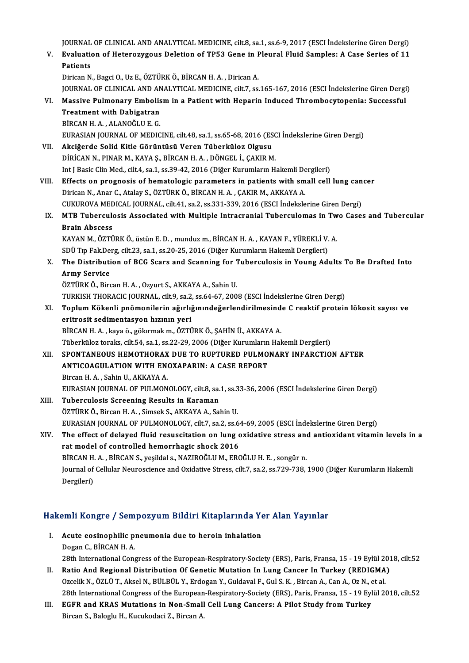| XIV.          | ÖZTÜRK Ö., Bircan H. A., Simsek S., AKKAYA A., Sahin U.<br>EURASIAN JOURNAL OF PULMONOLOGY, cilt.7, sa.2, ss.64-69, 2005 (ESCI İndekslerine Giren Dergi)<br>The effect of delayed fluid resuscitation on lung oxidative stress and antioxidant vitamin levels in a<br>rat model of controlled hemorrhagic shock 2016 |
|---------------|----------------------------------------------------------------------------------------------------------------------------------------------------------------------------------------------------------------------------------------------------------------------------------------------------------------------|
| XII.<br>XIII. | SPONTANEOUS HEMOTHORAX DUE TO RUPTURED PULMONARY INFARCTION AFTER<br>ANTICOAGULATION WITH ENOXAPARIN: A CASE REPORT<br>Bircan H. A., Sahin U., AKKAYA A.<br>EURASIAN JOURNAL OF PULMONOLOGY, cilt.8, sa.1, ss.33-36, 2006 (ESCI Indekslerine Giren Dergi)<br>Tuberculosis Screening Results in Karaman               |
|               | eritrosit sedimentasyon hızının yeri<br>BİRCAN H.A., kaya ö., gökırmak m., ÖZTÜRK Ö., ŞAHİN Ü., AKKAYA A.<br>Tüberküloz toraks, cilt.54, sa.1, ss.22-29, 2006 (Diğer Kurumların Hakemli Dergileri)                                                                                                                   |
| XI.           | <b>Army Service</b><br>ÖZTÜRK Ö., Bircan H. A., Ozyurt S., AKKAYA A., Sahin U.<br>TURKISH THORACIC JOURNAL, cilt.9, sa.2, ss.64-67, 2008 (ESCI Indekslerine Giren Dergi)<br>Toplum Kökenli pnömonilerin ağırlığınındeğerlendirilmesinde C reaktif protein lökosit sayısı ve                                          |
| X.            | KAYAN M., ÖZTÜRK Ö., üstün E. D., munduz m., BİRCAN H. A., KAYAN F., YÜREKLİ V. A.<br>SDÜ Tıp Fak.Derg, cilt.23, sa.1, ss.20-25, 2016 (Diğer Kurumların Hakemli Dergileri)<br>The Distribution of BCG Scars and Scanning for Tuberculosis in Young Adults To Be Drafted Into                                         |
| IX            | MTB Tuberculosis Associated with Multiple Intracranial Tuberculomas in Two Cases and Tubercular<br><b>Brain Abscess</b>                                                                                                                                                                                              |
| VIII.         | Effects on prognosis of hematologic parameters in patients with small cell lung cancer<br>Dirican N., Anar C., Atalay S., ÖZTÜRK Ö., BİRCAN H. A., ÇAKIR M., AKKAYA A.<br>CUKUROVA MEDICAL JOURNAL, cilt.41, sa.2, ss.331-339, 2016 (ESCI İndekslerine Giren Dergi)                                                  |
| VII.          | Akciğerde Solid Kitle Görüntüsü Veren Tüberküloz Olgusu<br>DİRİCAN N., PINAR M., KAYA Ş., BİRCAN H. A., DÖNGEL İ., ÇAKIR M.<br>Int J Basic Clin Med., cilt.4, sa.1, ss.39-42, 2016 (Diğer Kurumların Hakemli Dergileri)                                                                                              |
|               | <b>Treatment with Dabigatran</b><br>BİRCAN H.A., ALANOĞLU E.G.<br>EURASIAN JOURNAL OF MEDICINE, cilt.48, sa.1, ss.65-68, 2016 (ESCI Indekslerine Giren Dergi)                                                                                                                                                        |
| VI.           | Dirican N., Bagci O., Uz E., ÖZTÜRK Ö., BİRCAN H. A., Dirican A.<br>JOURNAL OF CLINICAL AND ANALYTICAL MEDICINE, cilt.7, ss.165-167, 2016 (ESCI İndekslerine Giren Dergi)<br>Massive Pulmonary Embolism in a Patient with Heparin Induced Thrombocytopenia: Successful                                               |
| V.            | JOURNAL OF CLINICAL AND ANALYTICAL MEDICINE, cilt.8, sa.1, ss.6-9, 2017 (ESCI İndekslerine Giren Dergi)<br>Evaluation of Heterozygous Deletion of TP53 Gene in Pleural Fluid Samples: A Case Series of 11<br><b>Patients</b>                                                                                         |

- Andra Alexandro 7 Sean<br>Acute eosinophilic p:<br>Dogan C., BİRCAN H. A.<br>22th International Core Acute eosinophilic pneumonia due to heroin inhalation<br>Dogan C., BİRCAN H. A.<br>28th International Congress of the European-Respiratory-Society (ERS), Paris, Fransa, 15 - 19 Eylül 2018, cilt.52<br>Patie And Begianal Distribution
- Dogan C., BİRCAN H. A.<br>28th International Congress of the European-Respiratory-Society (ERS), Paris, Fransa, 15 19 Eylül 20:<br>II. Ratio And Regional Distribution Of Genetic Mutation In Lung Cancer In Turkey (REDIGMA)<br>Ozce 28th International Congress of the European-Respiratory-Society (ERS), Paris, Fransa, 15 - 19 Eylül 20<br>Ratio And Regional Distribution Of Genetic Mutation In Lung Cancer In Turkey (REDIGMA)<br>Ozcelik N., ÖZLÜ T., Aksel N., B Ratio And Regional Distribution Of Genetic Mutation In Lung Cancer In Turkey (REDIGMA)<br>Ozcelik N., ÖZLÜ T., Aksel N., BÜLBÜL Y., Erdogan Y., Guldaval F., Gul S. K. , Bircan A., Can A., Oz N., et al.<br>28th International Cong Ozcelik N., ÖZLÜ T., Aksel N., BÜLBÜL Y., Erdogan Y., Guldaval F., Gul S. K., Bircan A., Can A., Oz N., 6<br>28th International Congress of the European-Respiratory-Society (ERS), Paris, Fransa, 15 - 19 Eyl<br>III. EGFR and KRAS
- 28th International Congress of the European<br><mark>EGFR and KRAS Mutations in Non-Small</mark><br>Bircan S., Baloglu H., Kucukodaci Z., Bircan A.